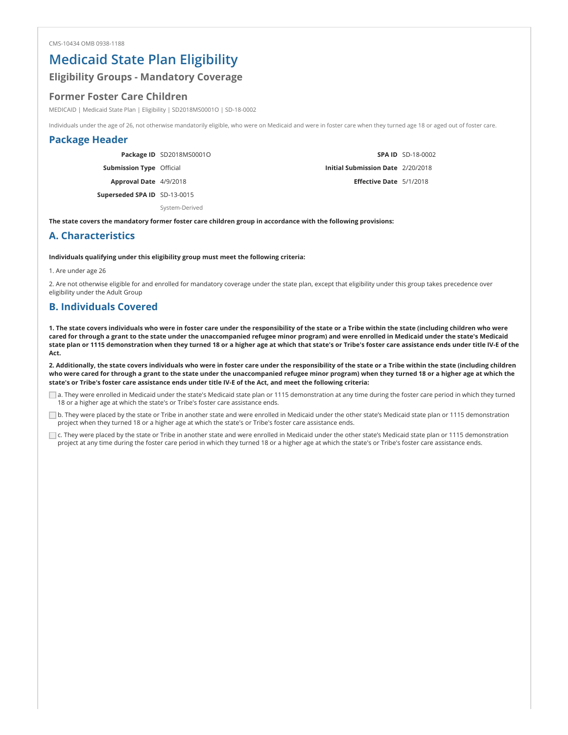## Medicaid State Plan Eligibility

## Eligibility Groups - Mandatory Coverage

### Former Foster Care Children

MEDICAID | Medicaid State Plan | Eligibility | SD2018MS0001O | SD-18-0002

Individuals under the age of 26, not otherwise mandatorily eligible, who were on Medicaid and were in foster care when they turned age 18 or aged out of foster care.

### Package Header

|                                 | Package ID SD2018MS0001O |                                          | <b>SPA ID</b> SD-18-0002 |
|---------------------------------|--------------------------|------------------------------------------|--------------------------|
| <b>Submission Type Official</b> |                          | <b>Initial Submission Date 2/20/2018</b> |                          |
| Approval Date 4/9/2018          |                          | <b>Effective Date</b> 5/1/2018           |                          |
| Superseded SPA ID SD-13-0015    |                          |                                          |                          |
|                                 | System-Derived           |                                          |                          |

The state covers the mandatory former foster care children group in accordance with the following provisions:

### A. Characteristics

#### Individuals qualifying under this eligibility group must meet the following criteria:

1. Are under age 26

2. Are not otherwise eligible for and enrolled for mandatory coverage under the state plan, except that eligibility under this group takes precedence over eligibility under the Adult Group

### B. Individuals Covered

1. The state covers individuals who were in foster care under the responsibility of the state or a Tribe within the state (including children who were cared for through a grant to the state under the unaccompanied refugee minor program) and were enrolled in Medicaid under the state's Medicaid state plan or 1115 demonstration when they turned 18 or a higher age at which that state's or Tribe's foster care assistance ends under title IV-E of the Act.

2. Additionally, the state covers individuals who were in foster care under the responsibility of the state or a Tribe within the state (including children who were cared for through a grant to the state under the unaccompanied refugee minor program) when they turned 18 or a higher age at which the state's or Tribe's foster care assistance ends under title IV-E of the Act, and meet the following criteria:

a. They were enrolled in Medicaid under the state's Medicaid state plan or 1115 demonstration at any time during the foster care period in which they turned 18 or a higher age at which the state's or Tribe's foster care assistance ends.

b. They were placed by the state or Tribe in another state and were enrolled in Medicaid under the other state's Medicaid state plan or 1115 demonstration project when they turned 18 or a higher age at which the state's or Tribe's foster care assistance ends.

c. They were placed by the state or Tribe in another state and were enrolled in Medicaid under the other state's Medicaid state plan or 1115 demonstration project at any time during the foster care period in which they turned 18 or a higher age at which the state's or Tribe's foster care assistance ends.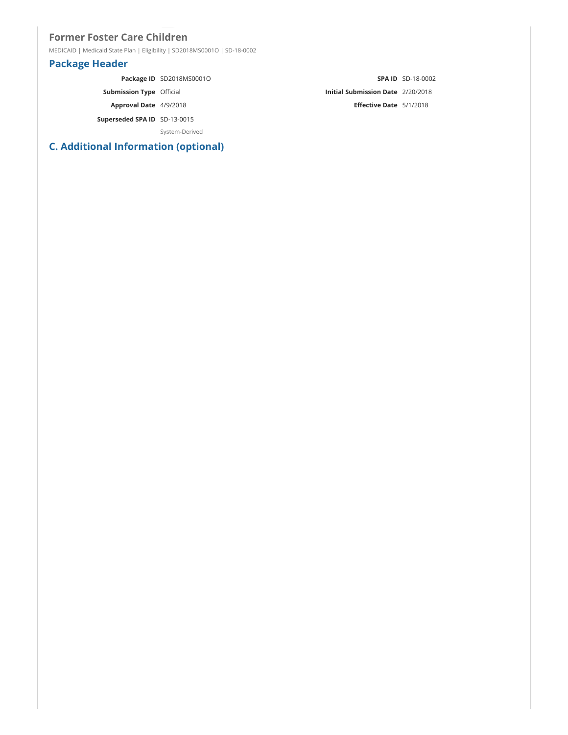## Former Foster Care Children

MEDICAID | Medicaid State Plan | Eligibility | SD2018MS0001O | SD-18-0002

## Package Header

|                                 | Package ID SD2018MS0001O |                                          | <b>SPA ID</b> SD-18-0002 |
|---------------------------------|--------------------------|------------------------------------------|--------------------------|
| <b>Submission Type Official</b> |                          | <b>Initial Submission Date 2/20/2018</b> |                          |
| Approval Date 4/9/2018          |                          | Effective Date 5/1/2018                  |                          |
| Superseded SPA ID SD-13-0015    |                          |                                          |                          |
|                                 | System-Derived           |                                          |                          |

# C. Additional Information (optional)